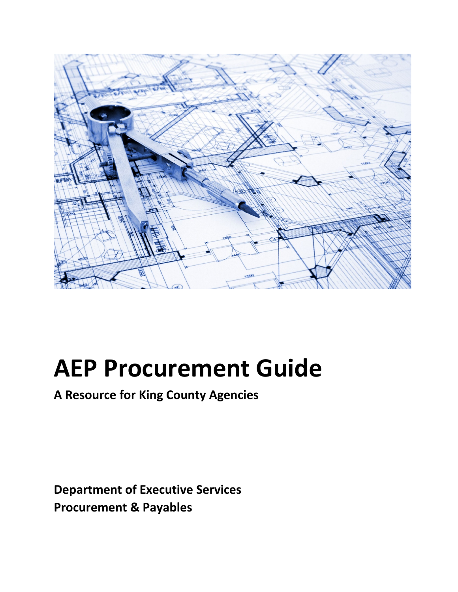

**A Resource for King County Agencies**

**Department of Executive Services Procurement & Payables**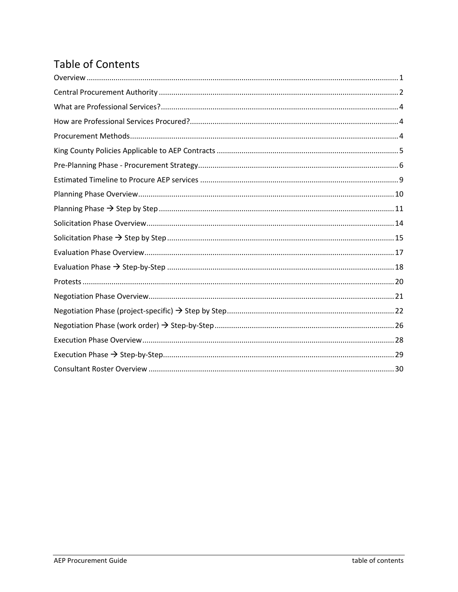# **Table of Contents**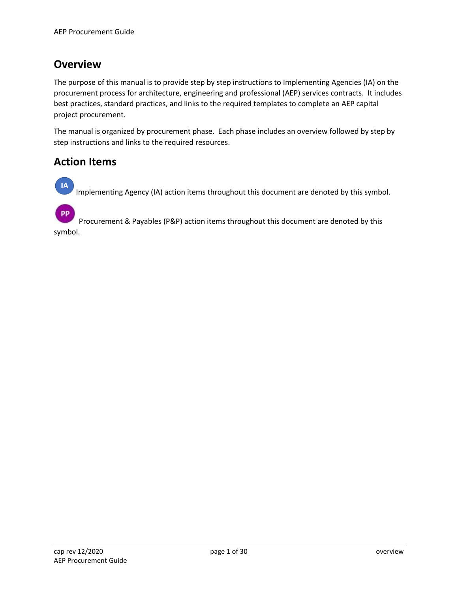# <span id="page-2-0"></span>**Overview**

The purpose of this manual is to provide step by step instructions to Implementing Agencies (IA) on the procurement process for architecture, engineering and professional (AEP) services contracts. It includes best practices, standard practices, and links to the required templates to complete an AEP capital project procurement.

The manual is organized by procurement phase. Each phase includes an overview followed by step by step instructions and links to the required resources.

### **Action Items**

 $IA$ Implementing Agency (IA) action items throughout this document are denoted by this symbol.

PP Procurement & Payables (P&P) action items throughout this document are denoted by this symbol.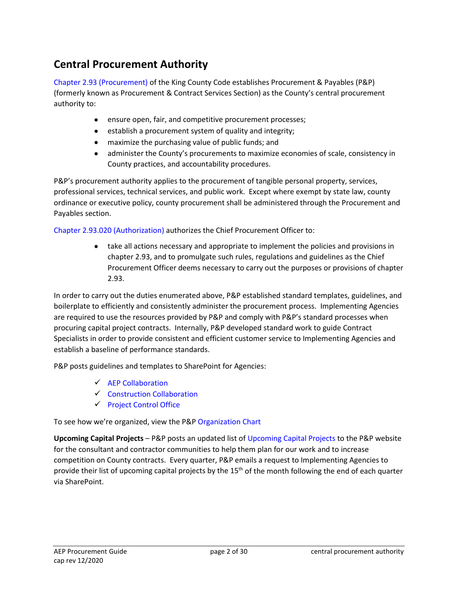# <span id="page-3-0"></span>**Central Procurement Authority**

[Chapter 2.93 \(Procurement\)](https://www.kingcounty.gov/council/legislation/kc_code/05_Title_2.aspx) of the King County Code establishes Procurement & Payables (P&P) (formerly known as Procurement & Contract Services Section) as the County's central procurement authority to:

- ensure open, fair, and competitive procurement processes;
- establish a procurement system of quality and integrity;
- maximize the purchasing value of public funds; and
- administer the County's procurements to maximize economies of scale, consistency in County practices, and accountability procedures.

P&P's procurement authority applies to the procurement of tangible personal property, services, professional services, technical services, and public work. Except where exempt by state law, county ordinance or executive policy, county procurement shall be administered through the Procurement and Payables section.

[Chapter 2.93.020 \(Authorization\)](https://www.kingcounty.gov/council/legislation/kc_code/05_Title_2.aspx) authorizes the Chief Procurement Officer to:

• take all actions necessary and appropriate to implement the policies and provisions in chapter 2.93, and to promulgate such rules, regulations and guidelines as the Chief Procurement Officer deems necessary to carry out the purposes or provisions of chapter 2.93.

In order to carry out the duties enumerated above, P&P established standard templates, guidelines, and boilerplate to efficiently and consistently administer the procurement process. Implementing Agencies are required to use the resources provided by P&P and comply with P&P's standard processes when procuring capital project contracts. Internally, P&P developed standard work to guide Contract Specialists in order to provide consistent and efficient customer service to Implementing Agencies and establish a baseline of performance standards.

P&P posts guidelines and templates to SharePoint for Agencies:

- $\checkmark$  [AEP Collaboration](https://kc1.sharepoint.com/teams/FBOD/CC/aep/SitePages/Home.aspx)
- $\checkmark$  [Construction Collaboration](https://kc1.sharepoint.com/teams/FBOD/CC/constr/SitePages/Home.aspx)
- $\checkmark$  [Project Control Office](https://kc1.sharepoint.com/teams/FBOD/CC/pco/SitePages/Home.aspx)

To see how we're organized, view the P&[P Organization Chart](https://kc1.sharepoint.com/sites/DES/FBOD/procurement/Documents/documents/pnp-photo-org-chart.pdf)

**Upcoming Capital Projects** – P&P posts an updated list of [Upcoming Capital Projects](https://www.kingcounty.gov/depts/finance-business-operations/procurement/for-business/upcoming-contracts.aspx) to the P&P website for the consultant and contractor communities to help them plan for our work and to increase competition on County contracts. Every quarter, P&P emails a request to Implementing Agencies to provide their list of upcoming capital projects by the  $15<sup>th</sup>$  of the month following the end of each quarter via SharePoint.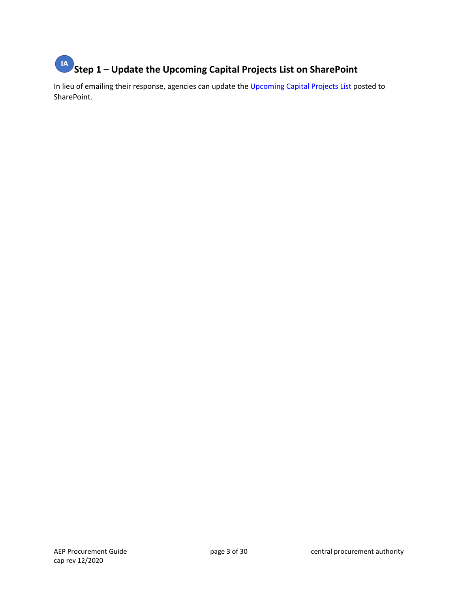# **Step 1 – Update the Upcoming Capital Projects List on SharePoint**

In lieu of emailing their response, agencies can update the [Upcoming Capital Projects List p](https://kc1.sharepoint.com/:x:/r/teams/FBOD/CC/pco/_layouts/15/Doc.aspx?sourcedoc=%7B52F95E5A-BCF4-44AD-8CE4-DDD1DA4EBDD2%7D&file=Upcoming%20Capital%20Projects%20List.xlsx&action=default&mobileredirect=true&cid=6a44b98c-ff6f-4c4f-a3a3-af28fd1db40a)osted to SharePoint.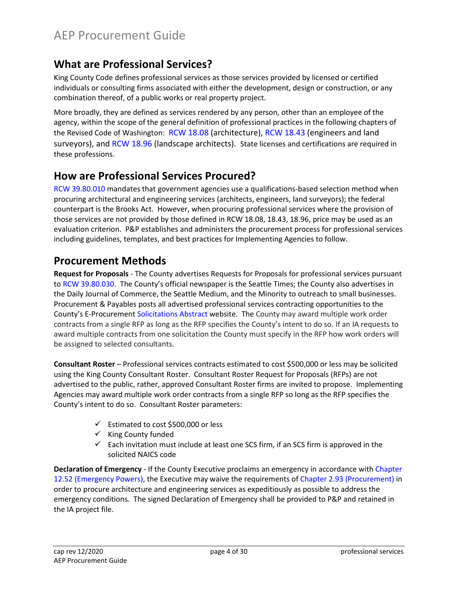# <span id="page-5-0"></span>**What are Professional Services?**

King County Code defines professional services as those services provided by licensed or certified individuals or consulting firms associated with either the development, design or construction, or any combination thereof, of a public works or real property project.

More broadly, they are defined as services rendered by any person, other than an employee of the agency, within the scope of the general definition of professional practices in the following chapters of the Revised Code of Washington: [RCW 18.08](http://app.leg.wa.gov/rcw/default.aspx?cite=18.08) (architecture), [RCW 18.43](https://app.leg.wa.gov/rcw/default.aspx?cite=18.43) (engineers and land surveyors), and [RCW 18.96](https://app.leg.wa.gov/rcw/default.aspx?cite=18.96) (landscape architects). State licenses and certifications are required in these professions.

# <span id="page-5-1"></span>**How are Professional Services Procured?**

[RCW 39.80.010](https://app.leg.wa.gov/RCW/default.aspx?cite=39.80.010) mandates that government agencies use a qualifications-based selection method when procuring architectural and engineering services (architects, engineers, land surveyors); the federal counterpart is the Brooks Act. However, when procuring professional services where the provision of those services are not provided by those defined in RCW 18.08, 18.43, 18.96, price may be used as an evaluation criterion. P&P establishes and administers the procurement process for professional services including guidelines, templates, and best practices for Implementing Agencies to follow.

# <span id="page-5-2"></span>**Procurement Methods**

**Request for Proposals** - The County advertises Requests for Proposals for professional services pursuant to [RCW 39.80.030.](https://app.leg.wa.gov/RCW/default.aspx?cite=39.80.030) The County's official newspaper is the Seattle Times; the County also advertises in the Daily Journal of Commerce, the Seattle Medium, and the Minority to outreach to small businesses. Procurement & Payables posts all advertised professional services contracting opportunities to the County's E-Procuremen[t Solicitations Abstract](https://fa-epvh-saasfaprod1.fa.ocs.oraclecloud.com/fscmUI/faces/NegotiationAbstracts?prcBuId=300000001727151&_afrLoop=12867063611903252&_afrWindowMode=0&_afrWindowId=gd86m7ld0&_adf.ctrl-state=sa1k99f39_1&_afrFS=16&_afrMT=screen&_afrMFW=1320&_afrMFH=722&_afrMFDW=1536&_afrMFDH=864&_afrMFC=8&_afrMFCI=0&_afrMFM=0&_afrMFR=120&_afrMFG=0&_afrMFS=0&_afrMFO=0) website. The County may award multiple work order contracts from a single RFP as long as the RFP specifies the County's intent to do so. If an IA requests to award multiple contracts from one solicitation the County must specify in the RFP how work orders will be assigned to selected consultants.

**Consultant Roster** – Professional services contracts estimated to cost \$500,000 or less may be solicited using the King County Consultant Roster. Consultant Roster Request for Proposals (RFPs) are not advertised to the public, rather, approved Consultant Roster firms are invited to propose. Implementing Agencies may award multiple work order contracts from a single RFP so long as the RFP specifies the County's intent to do so. Consultant Roster parameters:

- $\checkmark$  Estimated to cost \$500,000 or less
- $\checkmark$  King County funded
- $\checkmark$  Each invitation must include at least one SCS firm, if an SCS firm is approved in the solicited NAICS code

**Declaration of Emergency** - If the County Executive proclaims an emergency in accordance with [Chapter](https://www.kingcounty.gov/council/legislation/kc_code/15_Title_12.aspx)  [12.52 \(Emergency Powers\),](https://www.kingcounty.gov/council/legislation/kc_code/15_Title_12.aspx) the Executive may waive the requirements o[f Chapter 2.93 \(Procurement\)](https://www.kingcounty.gov/council/legislation/kc_code/05_Title_2.aspx) in order to procure architecture and engineering services as expeditiously as possible to address the emergency conditions. The signed Declaration of Emergency shall be provided to P&P and retained in the IA project file.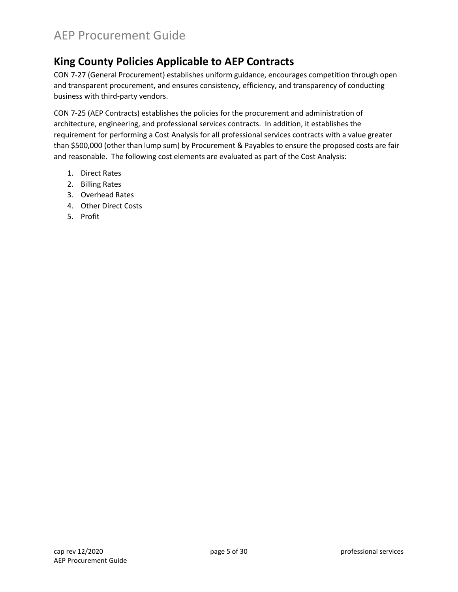# <span id="page-6-0"></span>**King County Policies Applicable to AEP Contracts**

CON 7-27 (General Procurement) establishes uniform guidance, encourages competition through open and transparent procurement, and ensures consistency, efficiency, and transparency of conducting business with third-party vendors.

CON 7-25 (AEP Contracts) establishes the policies for the procurement and administration of architecture, engineering, and professional services contracts. In addition, it establishes the requirement for performing a Cost Analysis for all professional services contracts with a value greater than \$500,000 (other than lump sum) by Procurement & Payables to ensure the proposed costs are fair and reasonable. The following cost elements are evaluated as part of the Cost Analysis:

- 1. Direct Rates
- 2. Billing Rates
- 3. Overhead Rates
- 4. Other Direct Costs
- 5. Profit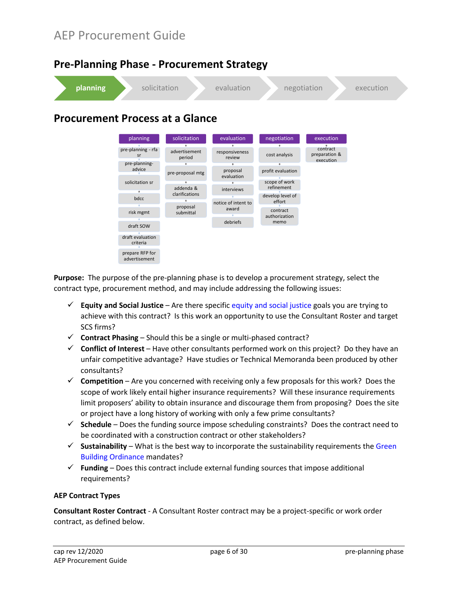bdcc risk mgmt draft SOW draft evaluation criteria prepare RFP for advertisement

<span id="page-7-0"></span>

interviews notice of intent to award debriefs

refinement develop level of effort contract authorization memo

**Purpose:** The purpose of the pre-planning phase is to develop a procurement strategy, select the contract type, procurement method, and may include addressing the following issues:

- **Equity and Social Justice** Are there specific [equity and social justice](https://kingcounty.gov/depts/dnrp/solid-waste/programs/green-building/county-green-building/equity-social-justice.aspx) goals you are trying to achieve with this contract? Is this work an opportunity to use the Consultant Roster and target SCS firms?
- $\checkmark$  **Contract Phasing** Should this be a single or multi-phased contract?

addenda & clarifications proposal submittal

- $\checkmark$  Conflict of Interest Have other consultants performed work on this project? Do they have an unfair competitive advantage? Have studies or Technical Memoranda been produced by other consultants?
- $\checkmark$  Competition Are you concerned with receiving only a few proposals for this work? Does the scope of work likely entail higher insurance requirements? Will these insurance requirements limit proposers' ability to obtain insurance and discourage them from proposing? Does the site or project have a long history of working with only a few prime consultants?
- **Schedule** Does the funding source impose scheduling constraints? Does the contract need to be coordinated with a construction contract or other stakeholders?
- $\checkmark$  Sustainability What is the best way to incorporate the sustainability requirements the Green [Building Ordinance](https://kingcounty.gov/%7E/media/depts/dnrp/solid-waste/green-building/documents/green-building-ordinance-2013.ashx?la=en) mandates?
- **Funding**  Does this contract include external funding sources that impose additional requirements?

#### **AEP Contract Types**

**Consultant Roster Contract** - A Consultant Roster contract may be a project-specific or work order contract, as defined below.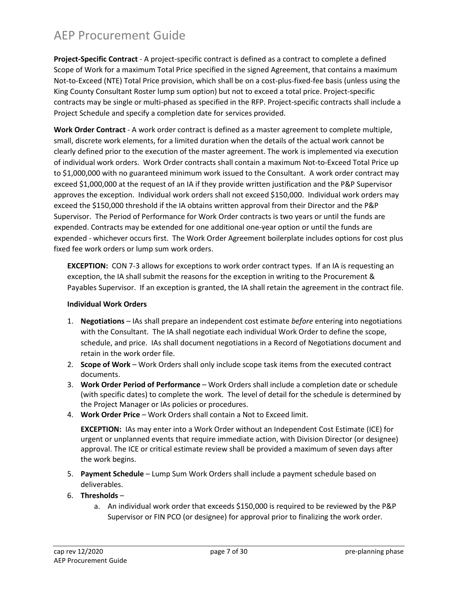**Project-Specific Contract** - A project-specific contract is defined as a contract to complete a defined Scope of Work for a maximum Total Price specified in the signed Agreement, that contains a maximum Not-to-Exceed (NTE) Total Price provision, which shall be on a cost-plus-fixed-fee basis (unless using the King County Consultant Roster lump sum option) but not to exceed a total price. Project-specific contracts may be single or multi-phased as specified in the RFP. Project-specific contracts shall include a Project Schedule and specify a completion date for services provided.

**Work Order Contract** - A work order contract is defined as a master agreement to complete multiple, small, discrete work elements, for a limited duration when the details of the actual work cannot be clearly defined prior to the execution of the master agreement. The work is implemented via execution of individual work orders. Work Order contracts shall contain a maximum Not-to-Exceed Total Price up to \$1,000,000 with no guaranteed minimum work issued to the Consultant. A work order contract may exceed \$1,000,000 at the request of an IA if they provide written justification and the P&P Supervisor approves the exception. Individual work orders shall not exceed \$150,000. Individual work orders may exceed the \$150,000 threshold if the IA obtains written approval from their Director and the P&P Supervisor. The Period of Performance for Work Order contracts is two years or until the funds are expended. Contracts may be extended for one additional one-year option or until the funds are expended - whichever occurs first. The Work Order Agreement boilerplate includes options for cost plus fixed fee work orders or lump sum work orders.

**EXCEPTION:** CON 7-3 allows for exceptions to work order contract types. If an IA is requesting an exception, the IA shall submit the reasons for the exception in writing to the Procurement & Payables Supervisor. If an exception is granted, the IA shall retain the agreement in the contract file.

#### **Individual Work Orders**

- 1. **Negotiations**  IAs shall prepare an independent cost estimate *before* entering into negotiations with the Consultant. The IA shall negotiate each individual Work Order to define the scope, schedule, and price. IAs shall document negotiations in a Record of Negotiations document and retain in the work order file.
- 2. **Scope of Work** Work Orders shall only include scope task items from the executed contract documents.
- 3. **Work Order Period of Performance** Work Orders shall include a completion date or schedule (with specific dates) to complete the work. The level of detail for the schedule is determined by the Project Manager or IAs policies or procedures.
- 4. **Work Order Price** Work Orders shall contain a Not to Exceed limit.

**EXCEPTION:** IAs may enter into a Work Order without an Independent Cost Estimate (ICE) for urgent or unplanned events that require immediate action, with Division Director (or designee) approval. The ICE or critical estimate review shall be provided a maximum of seven days after the work begins.

- 5. **Payment Schedule** Lump Sum Work Orders shall include a payment schedule based on deliverables.
- 6. **Thresholds** 
	- a. An individual work order that exceeds \$150,000 is required to be reviewed by the P&P Supervisor or FIN PCO (or designee) for approval prior to finalizing the work order.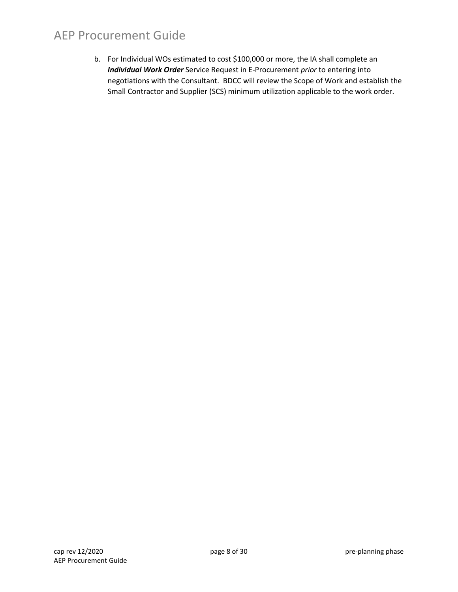b. For Individual WOs estimated to cost \$100,000 or more, the IA shall complete an *Individual Work Order* Service Request in E-Procurement *prior* to entering into negotiations with the Consultant. BDCC will review the Scope of Work and establish the Small Contractor and Supplier (SCS) minimum utilization applicable to the work order.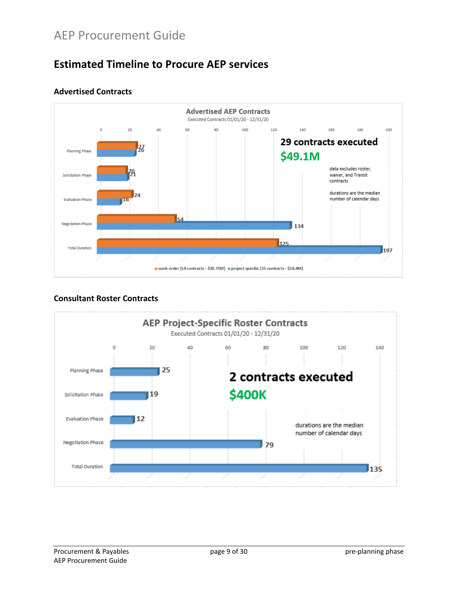# <span id="page-10-0"></span>**Estimated Timeline to Procure AEP services**



#### **Advertised Contracts**

#### **Consultant Roster Contracts**

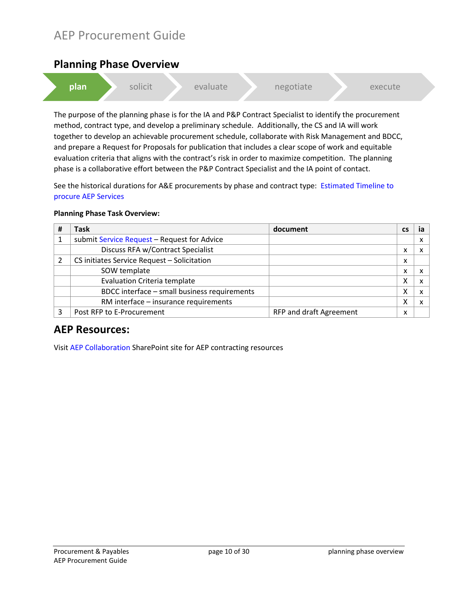### <span id="page-11-0"></span>**Planning Phase Overview**



The purpose of the planning phase is for the IA and P&P Contract Specialist to identify the procurement method, contract type, and develop a preliminary schedule. Additionally, the CS and IA will work together to develop an achievable procurement schedule, collaborate with Risk Management and BDCC, and prepare a Request for Proposals for publication that includes a clear scope of work and equitable evaluation criteria that aligns with the contract's risk in order to maximize competition. The planning phase is a collaborative effort between the P&P Contract Specialist and the IA point of contact.

See the historical durations for A&E procurements by phase and contract type: [Estimated Timeline to](#page-10-0)  [procure AEP Services](#page-10-0)

| # | <b>Task</b>                                  | document                | <b>CS</b> |   |
|---|----------------------------------------------|-------------------------|-----------|---|
|   | submit Service Request - Request for Advice  |                         |           | ́ |
|   | Discuss RFA w/Contract Specialist            |                         | x         |   |
|   | CS initiates Service Request - Solicitation  |                         | x         |   |
|   | SOW template                                 |                         | x         |   |
|   | <b>Evaluation Criteria template</b>          |                         | Χ         |   |
|   | BDCC interface - small business requirements |                         | Χ         |   |
|   | RM interface - insurance requirements        |                         | χ         |   |
|   | Post RFP to E-Procurement                    | RFP and draft Agreement | x         |   |

#### **Planning Phase Task Overview:**

### **AEP Resources:**

Visit [AEP Collaboration](https://kc1.sharepoint.com/teams/FBOD/CC/aep/SitePages/Home.aspx) SharePoint site for AEP contracting resources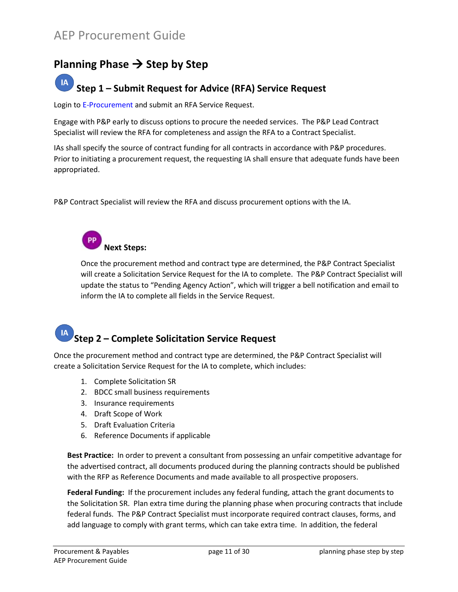# <span id="page-12-0"></span>Planning Phase  $\rightarrow$  Step by Step

#### **IA Step 1 – Submit Request for Advice (RFA) Service Request**

Login to [E-Procurement](https://kingcounty.gov/procurement/supplierportal) and submit an RFA Service Request.

Engage with P&P early to discuss options to procure the needed services. The P&P Lead Contract Specialist will review the RFA for completeness and assign the RFA to a Contract Specialist.

IAs shall specify the source of contract funding for all contracts in accordance with P&P procedures. Prior to initiating a procurement request, the requesting IA shall ensure that adequate funds have been appropriated.

P&P Contract Specialist will review the RFA and discuss procurement options with the IA.

**Next Steps:** 

Once the procurement method and contract type are determined, the P&P Contract Specialist will create a Solicitation Service Request for the IA to complete. The P&P Contract Specialist will update the status to "Pending Agency Action", which will trigger a bell notification and email to inform the IA to complete all fields in the Service Request.

# **Step 2 – Complete Solicitation Service Request**

Once the procurement method and contract type are determined, the P&P Contract Specialist will create a Solicitation Service Request for the IA to complete, which includes:

- 1. Complete Solicitation SR
- 2. BDCC small business requirements
- 3. Insurance requirements
- 4. Draft Scope of Work
- 5. Draft Evaluation Criteria
- 6. Reference Documents if applicable

**Best Practice:** In order to prevent a consultant from possessing an unfair competitive advantage for the advertised contract, all documents produced during the planning contracts should be published with the RFP as Reference Documents and made available to all prospective proposers.

**Federal Funding:** If the procurement includes any federal funding, attach the grant documents to the Solicitation SR. Plan extra time during the planning phase when procuring contracts that include federal funds. The P&P Contract Specialist must incorporate required contract clauses, forms, and add language to comply with grant terms, which can take extra time. In addition, the federal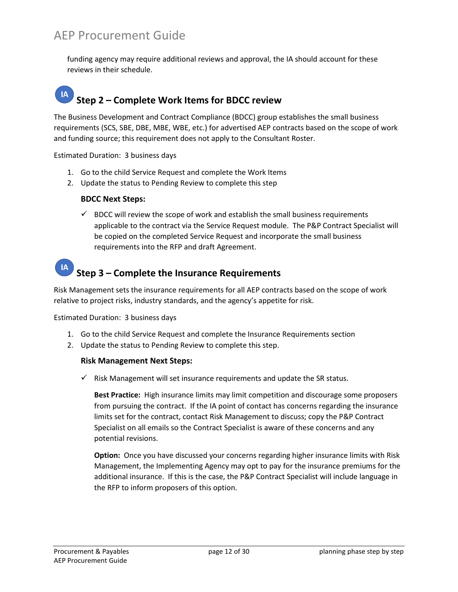funding agency may require additional reviews and approval, the IA should account for these reviews in their schedule.

#### $IA$ **Step 2 – Complete Work Items for BDCC review**

The Business Development and Contract Compliance (BDCC) group establishes the small business requirements (SCS, SBE, DBE, MBE, WBE, etc.) for advertised AEP contracts based on the scope of work and funding source; this requirement does not apply to the Consultant Roster.

Estimated Duration: 3 business days

- 1. Go to the child Service Request and complete the Work Items
- 2. Update the status to Pending Review to complete this step

#### **BDCC Next Steps:**

 $\checkmark$  BDCC will review the scope of work and establish the small business requirements applicable to the contract via the Service Request module. The P&P Contract Specialist will be copied on the completed Service Request and incorporate the small business requirements into the RFP and draft Agreement.

# **Step 3 – Complete the Insurance Requirements**

Risk Management sets the insurance requirements for all AEP contracts based on the scope of work relative to project risks, industry standards, and the agency's appetite for risk.

Estimated Duration: 3 business days

- 1. Go to the child Service Request and complete the Insurance Requirements section
- 2. Update the status to Pending Review to complete this step.

#### **Risk Management Next Steps:**

 $\checkmark$  Risk Management will set insurance requirements and update the SR status.

**Best Practice:** High insurance limits may limit competition and discourage some proposers from pursuing the contract. If the IA point of contact has concerns regarding the insurance limits set for the contract, contact Risk Management to discuss; copy the P&P Contract Specialist on all emails so the Contract Specialist is aware of these concerns and any potential revisions.

**Option:** Once you have discussed your concerns regarding higher insurance limits with Risk Management, the Implementing Agency may opt to pay for the insurance premiums for the additional insurance. If this is the case, the P&P Contract Specialist will include language in the RFP to inform proposers of this option.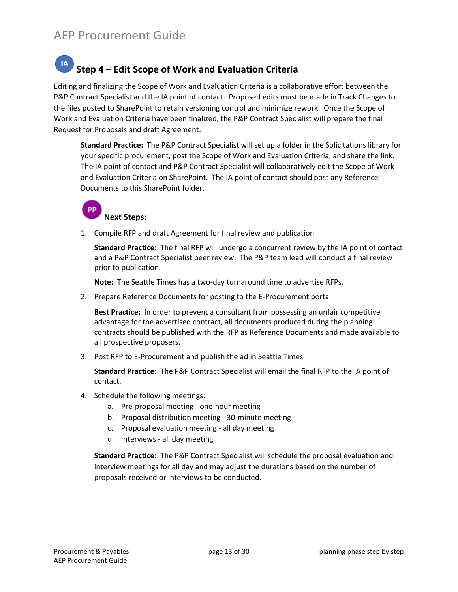#### $IA$ **Step 4 – Edit Scope of Work and Evaluation Criteria**

Editing and finalizing the Scope of Work and Evaluation Criteria is a collaborative effort between the P&P Contract Specialist and the IA point of contact. Proposed edits must be made in Track Changes to the files posted to SharePoint to retain versioning control and minimize rework. Once the Scope of Work and Evaluation Criteria have been finalized, the P&P Contract Specialist will prepare the final Request for Proposals and draft Agreement.

**Standard Practice:** The P&P Contract Specialist will set up a folder in the Solicitations library for your specific procurement, post the Scope of Work and Evaluation Criteria, and share the link. The IA point of contact and P&P Contract Specialist will collaboratively edit the Scope of Work and Evaluation Criteria on SharePoint. The IA point of contact should post any Reference Documents to this SharePoint folder.

#### **PP Next Steps:**

1. Compile RFP and draft Agreement for final review and publication

**Standard Practice:** The final RFP will undergo a concurrent review by the IA point of contact and a P&P Contract Specialist peer review. The P&P team lead will conduct a final review prior to publication.

**Note:** The Seattle Times has a two-day turnaround time to advertise RFPs.

2. Prepare Reference Documents for posting to the E-Procurement portal

**Best Practice:** In order to prevent a consultant from possessing an unfair competitive advantage for the advertised contract, all documents produced during the planning contracts should be published with the RFP as Reference Documents and made available to all prospective proposers.

3. Post RFP to E-Procurement and publish the ad in Seattle Times

**Standard Practice:** The P&P Contract Specialist will email the final RFP to the IA point of contact.

- 4. Schedule the following meetings:
	- a. Pre-proposal meeting one-hour meeting
	- b. Proposal distribution meeting 30-minute meeting
	- c. Proposal evaluation meeting all day meeting
	- d. Interviews all day meeting

**Standard Practice:** The P&P Contract Specialist will schedule the proposal evaluation and interview meetings for all day and may adjust the durations based on the number of proposals received or interviews to be conducted.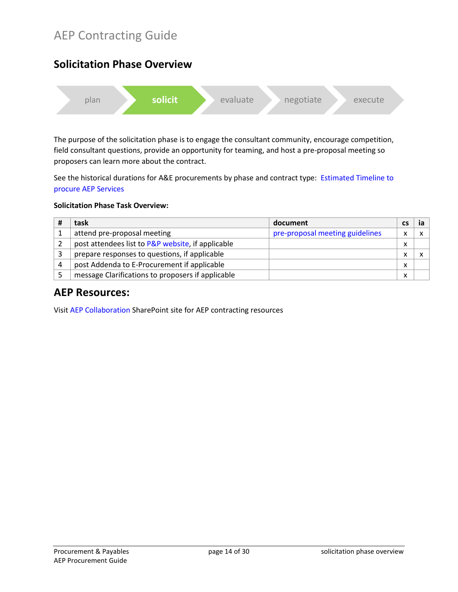# AEP Contracting Guide

# <span id="page-15-0"></span>**Solicitation Phase Overview** plan **solicit** evaluate negotiate execute

The purpose of the solicitation phase is to engage the consultant community, encourage competition, field consultant questions, provide an opportunity for teaming, and host a pre-proposal meeting so proposers can learn more about the contract.

See the historical durations for A&E procurements by phase and contract type: [Estimated Timeline to](#page-10-0)  [procure AEP Services](#page-10-0)

#### **Solicitation Phase Task Overview:**

| task                                              | document                        | сs                |  |
|---------------------------------------------------|---------------------------------|-------------------|--|
| attend pre-proposal meeting                       | pre-proposal meeting guidelines | $\checkmark$      |  |
| post attendees list to P&P website, if applicable |                                 | v                 |  |
| prepare responses to questions, if applicable     |                                 | $\checkmark$      |  |
| post Addenda to E-Procurement if applicable       |                                 | $\checkmark$      |  |
| message Clarifications to proposers if applicable |                                 | $\checkmark$<br>́ |  |

### **AEP Resources:**

Visit [AEP Collaboration](https://kc1.sharepoint.com/teams/FBOD/CC/aep/SitePages/Home.aspx) SharePoint site for AEP contracting resources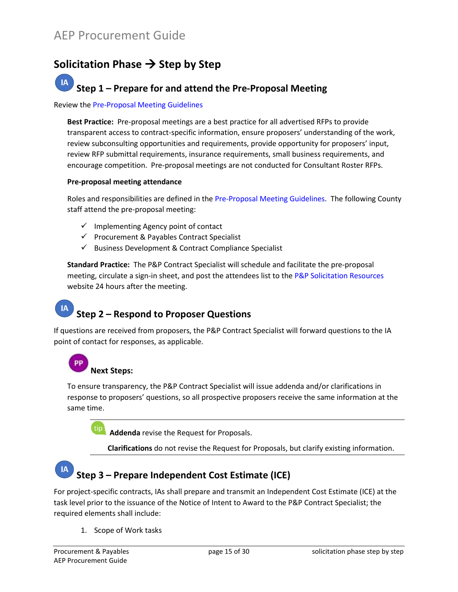# <span id="page-16-0"></span>**Solicitation Phase Step by Step**

#### **IA Step 1 – Prepare for and attend the Pre-Proposal Meeting**

#### Review the [Pre-Proposal Meeting Guidelines](https://kc1.sharepoint.com/teams/FBOD/CC/aep/Contracting%20Documents/pre-proposal-meeting-guidelines.pdf)

**Best Practice:** Pre-proposal meetings are a best practice for all advertised RFPs to provide transparent access to contract-specific information, ensure proposers' understanding of the work, review subconsulting opportunities and requirements, provide opportunity for proposers' input, review RFP submittal requirements, insurance requirements, small business requirements, and encourage competition. Pre-proposal meetings are not conducted for Consultant Roster RFPs.

#### **Pre-proposal meeting attendance**

Roles and responsibilities are defined in the [Pre-Proposal Meeting Guidelines.](https://kc1.sharepoint.com/teams/FBOD/CC/aep/Contracting%20Documents/pre-proposal-meeting-guidelines.pdf) The following County staff attend the pre-proposal meeting:

- $\checkmark$  Implementing Agency point of contact
- $\checkmark$  Procurement & Payables Contract Specialist
- $\checkmark$  Business Development & Contract Compliance Specialist

**Standard Practice:** The P&P Contract Specialist will schedule and facilitate the pre-proposal meeting, circulate a sign-in sheet, and post the attendees list to the [P&P Solicitation Resources](https://www.kingcounty.gov/depts/finance-business-operations/procurement/for-business/solicitation-resources.aspx) website 24 hours after the meeting.

# **Step 2 – Respond to Proposer Questions**

If questions are received from proposers, the P&P Contract Specialist will forward questions to the IA point of contact for responses, as applicable.

# **Next Steps:**

To ensure transparency, the P&P Contract Specialist will issue addenda and/or clarifications in response to proposers' questions, so all prospective proposers receive the same information at the same time.

tip **Addenda** revise the Request for Proposals.

**Clarifications** do not revise the Request for Proposals, but clarify existing information.

# **Step 3 – Prepare Independent Cost Estimate (ICE)**

For project-specific contracts, IAs shall prepare and transmit an Independent Cost Estimate (ICE) at the task level prior to the issuance of the Notice of Intent to Award to the P&P Contract Specialist; the required elements shall include:

1. Scope of Work tasks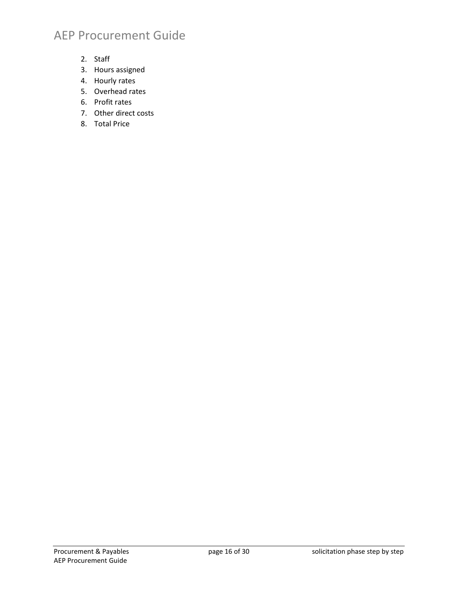- 2. Staff
- 3. Hours assigned
- 4. Hourly rates
- 5. Overhead rates
- 6. Profit rates
- 7. Other direct costs
- 8. Total Price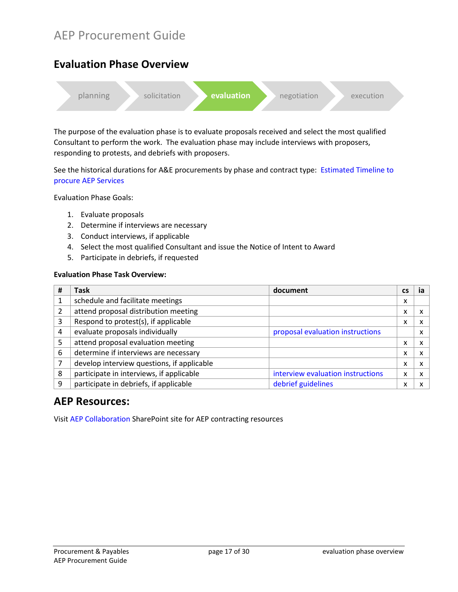## <span id="page-18-0"></span>**Evaluation Phase Overview**



The purpose of the evaluation phase is to evaluate proposals received and select the most qualified Consultant to perform the work. The evaluation phase may include interviews with proposers, responding to protests, and debriefs with proposers.

See the historical durations for A&E procurements by phase and contract type: Estimated Timeline to [procure AEP Services](#page-10-0)

Evaluation Phase Goals:

- 1. Evaluate proposals
- 2. Determine if interviews are necessary
- 3. Conduct interviews, if applicable
- 4. Select the most qualified Consultant and issue the Notice of Intent to Award
- 5. Participate in debriefs, if requested

#### **Evaluation Phase Task Overview:**

| # | <b>Task</b>                                | document                          | <b>CS</b> | ia |
|---|--------------------------------------------|-----------------------------------|-----------|----|
|   | schedule and facilitate meetings           |                                   | x         |    |
|   | attend proposal distribution meeting       |                                   | x         |    |
| 3 | Respond to protest(s), if applicable       |                                   | x         |    |
| 4 | evaluate proposals individually            | proposal evaluation instructions  |           |    |
| 5 | attend proposal evaluation meeting         |                                   | x         |    |
| 6 | determine if interviews are necessary      |                                   | x         |    |
|   | develop interview questions, if applicable |                                   | x         |    |
| 8 | participate in interviews, if applicable   | interview evaluation instructions | x         |    |
| q | participate in debriefs, if applicable     | debrief guidelines                | x         |    |

### **AEP Resources:**

Visit [AEP Collaboration](https://kc1.sharepoint.com/teams/FBOD/CC/aep/SitePages/Home.aspx) SharePoint site for AEP contracting resources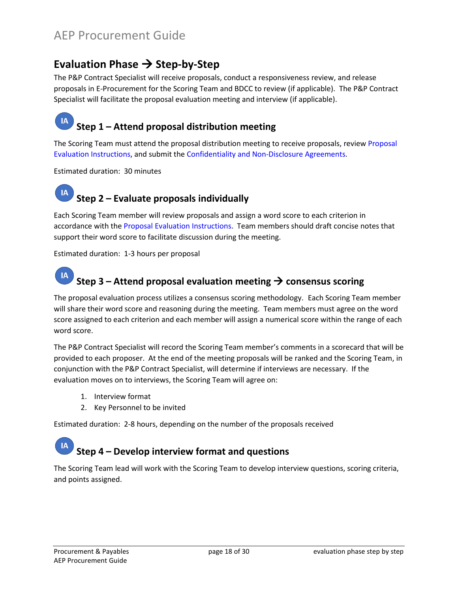# <span id="page-19-0"></span>**Evaluation Phase → Step-by-Step**

The P&P Contract Specialist will receive proposals, conduct a responsiveness review, and release proposals in E-Procurement for the Scoring Team and BDCC to review (if applicable). The P&P Contract Specialist will facilitate the proposal evaluation meeting and interview (if applicable).

#### IA **Step 1 – Attend proposal distribution meeting**

The Scoring Team must attend the proposal distribution meeting to receive proposals, review [Proposal](https://kc1.sharepoint.com/teams/FBOD/CC/aep/Contracting%20Documents/proposal-eval-instructions.pdf)  [Evaluation Instructions,](https://kc1.sharepoint.com/teams/FBOD/CC/aep/Contracting%20Documents/proposal-eval-instructions.pdf) and submit th[e Confidentiality and Non-Disclosure Agreements.](https://kc1.sharepoint.com/:w:/r/teams/FBOD/CC/aep/_layouts/15/Doc.aspx?sourcedoc=%7BD99E1938-A95A-497C-99BE-5F1D0E3087F3%7D&file=aep-confidentiality-nondisclosure-agmt.docx&action=default&mobileredirect=true)

Estimated duration: 30 minutes

#### **IA Step 2 – Evaluate proposals individually**

Each Scoring Team member will review proposals and assign a word score to each criterion in accordance with th[e Proposal Evaluation Instructions.](https://kc1.sharepoint.com/teams/FBOD/CC/aep/Contracting%20Documents/proposal-eval-instructions.pdf) Team members should draft concise notes that support their word score to facilitate discussion during the meeting.

Estimated duration: 1-3 hours per proposal

#### **IA Step 3 – Attend proposal evaluation meeting consensus scoring**

The proposal evaluation process utilizes a consensus scoring methodology. Each Scoring Team member will share their word score and reasoning during the meeting. Team members must agree on the word score assigned to each criterion and each member will assign a numerical score within the range of each word score.

The P&P Contract Specialist will record the Scoring Team member's comments in a scorecard that will be provided to each proposer. At the end of the meeting proposals will be ranked and the Scoring Team, in conjunction with the P&P Contract Specialist, will determine if interviews are necessary. If the evaluation moves on to interviews, the Scoring Team will agree on:

- 1. Interview format
- 2. Key Personnel to be invited

Estimated duration: 2-8 hours, depending on the number of the proposals received

#### **IA Step 4 – Develop interview format and questions**

The Scoring Team lead will work with the Scoring Team to develop interview questions, scoring criteria, and points assigned.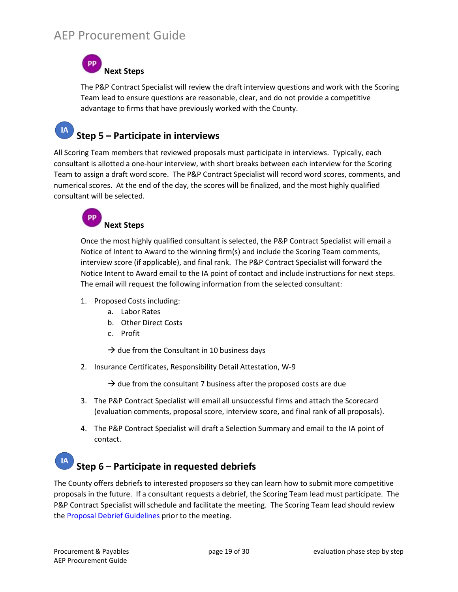**Next Steps**

The P&P Contract Specialist will review the draft interview questions and work with the Scoring Team lead to ensure questions are reasonable, clear, and do not provide a competitive advantage to firms that have previously worked with the County.

#### **IA Step 5 – Participate in interviews**

All Scoring Team members that reviewed proposals must participate in interviews. Typically, each consultant is allotted a one-hour interview, with short breaks between each interview for the Scoring Team to assign a draft word score. The P&P Contract Specialist will record word scores, comments, and numerical scores. At the end of the day, the scores will be finalized, and the most highly qualified consultant will be selected.



Once the most highly qualified consultant is selected, the P&P Contract Specialist will email a Notice of Intent to Award to the winning firm(s) and include the Scoring Team comments, interview score (if applicable), and final rank. The P&P Contract Specialist will forward the Notice Intent to Award email to the IA point of contact and include instructions for next steps. The email will request the following information from the selected consultant:

- 1. Proposed Costs including:
	- a. Labor Rates
	- b. Other Direct Costs
	- c. Profit

 $\rightarrow$  due from the Consultant in 10 business days

2. Insurance Certificates, Responsibility Detail Attestation, W-9

 $\rightarrow$  due from the consultant 7 business after the proposed costs are due

- 3. The P&P Contract Specialist will email all unsuccessful firms and attach the Scorecard (evaluation comments, proposal score, interview score, and final rank of all proposals).
- 4. The P&P Contract Specialist will draft a Selection Summary and email to the IA point of contact.

#### IA **Step 6 – Participate in requested debriefs**

The County offers debriefs to interested proposers so they can learn how to submit more competitive proposals in the future. If a consultant requests a debrief, the Scoring Team lead must participate. The P&P Contract Specialist will schedule and facilitate the meeting. The Scoring Team lead should review the [Proposal Debrief Guidelines](https://kc1.sharepoint.com/teams/FBOD/CC/aep/Contracting%20Documents/Proposal%20Debrief%20Guidelines.pdf) prior to the meeting.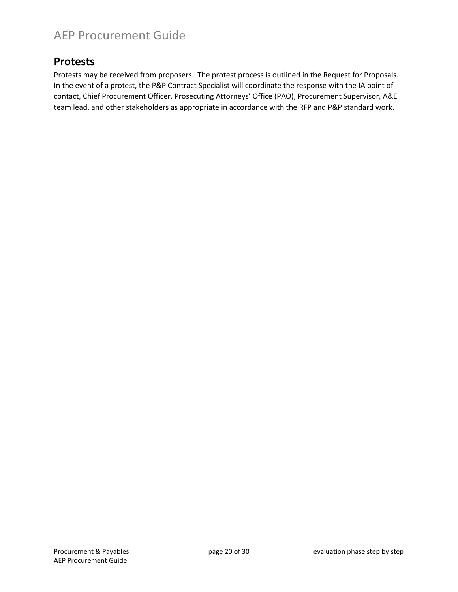### <span id="page-21-0"></span>**Protests**

Protests may be received from proposers. The protest process is outlined in the Request for Proposals. In the event of a protest, the P&P Contract Specialist will coordinate the response with the IA point of contact, Chief Procurement Officer, Prosecuting Attorneys' Office (PAO), Procurement Supervisor, A&E team lead, and other stakeholders as appropriate in accordance with the RFP and P&P standard work.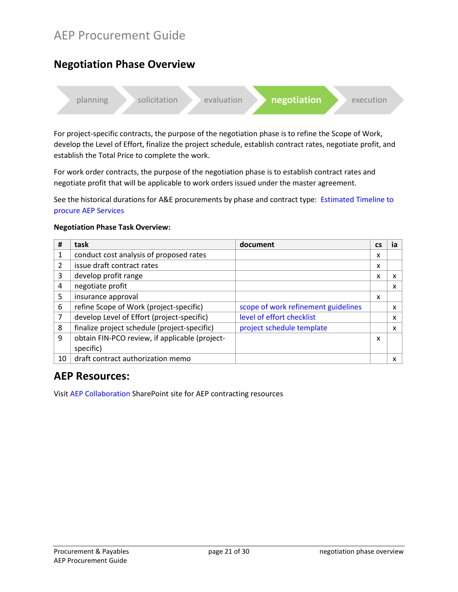# <span id="page-22-0"></span>**Negotiation Phase Overview**



For project-specific contracts, the purpose of the negotiation phase is to refine the Scope of Work, develop the Level of Effort, finalize the project schedule, establish contract rates, negotiate profit, and establish the Total Price to complete the work.

For work order contracts, the purpose of the negotiation phase is to establish contract rates and negotiate profit that will be applicable to work orders issued under the master agreement.

See the historical durations for A&E procurements by phase and contract type: [Estimated Timeline to](#page-10-0)  [procure AEP Services](#page-10-0)

#### **Negotiation Phase Task Overview:**

| #              | task                                           | document                            | <b>CS</b> | ia |
|----------------|------------------------------------------------|-------------------------------------|-----------|----|
| 1              | conduct cost analysis of proposed rates        |                                     | x         |    |
| $\overline{2}$ | issue draft contract rates                     |                                     | x         |    |
| 3              | develop profit range                           |                                     | x         | x  |
| 4              | negotiate profit                               |                                     |           | x  |
| 5              | insurance approval                             |                                     | x         |    |
| 6              | refine Scope of Work (project-specific)        | scope of work refinement guidelines |           | x  |
| 7              | develop Level of Effort (project-specific)     | level of effort checklist           |           | x  |
| 8              | finalize project schedule (project-specific)   | project schedule template           |           | x  |
| 9              | obtain FIN-PCO review, if applicable (project- |                                     | x         |    |
|                | specific)                                      |                                     |           |    |
| 10             | draft contract authorization memo              |                                     |           | x  |

### **AEP Resources:**

Visit [AEP Collaboration](https://kc1.sharepoint.com/teams/FBOD/CC/aep/SitePages/Home.aspx) SharePoint site for AEP contracting resources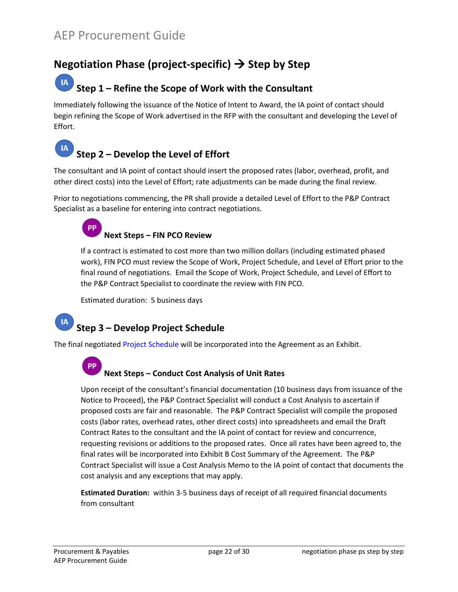# <span id="page-23-0"></span>**Negotiation Phase (project-specific) Step by Step**

#### **IA Step 1 – Refine the Scope of Work with the Consultant**

Immediately following the issuance of the Notice of Intent to Award, the IA point of contact should begin refining the Scope of Work advertised in the RFP with the consultant and developing the Level of Effort.

#### IA **Step 2 – Develop the Level of Effort**

The consultant and IA point of contact should insert the proposed rates (labor, overhead, profit, and other direct costs) into the Level of Effort; rate adjustments can be made during the final review.

Prior to negotiations commencing, the PR shall provide a detailed Level of Effort to the P&P Contract Specialist as a baseline for entering into contract negotiations.

#### **PP Next Steps – FIN PCO Review**

If a contract is estimated to cost more than two million dollars (including estimated phased work), FIN PCO must review the Scope of Work, Project Schedule, and Level of Effort prior to the final round of negotiations. Email the Scope of Work, Project Schedule, and Level of Effort to the P&P Contract Specialist to coordinate the review with FIN PCO.

Estimated duration: 5 business days

# **Step 3 – Develop Project Schedule**

The final negotiated [Project Schedule](https://kc1.sharepoint.com/teams/FBOD/CC/aep/Contracting%20Documents/exhibit-e-project-schedule.docx?d=w4f39e605b59c446e8f5ea4a7de9e0ae5) will be incorporated into the Agreement as an Exhibit.

#### **Next Steps – Conduct Cost Analysis of Unit Rates**

Upon receipt of the consultant's financial documentation (10 business days from issuance of the Notice to Proceed), the P&P Contract Specialist will conduct a Cost Analysis to ascertain if proposed costs are fair and reasonable. The P&P Contract Specialist will compile the proposed costs (labor rates, overhead rates, other direct costs) into spreadsheets and email the Draft Contract Rates to the consultant and the IA point of contact for review and concurrence, requesting revisions or additions to the proposed rates. Once all rates have been agreed to, the final rates will be incorporated into Exhibit B Cost Summary of the Agreement. The P&P Contract Specialist will issue a Cost Analysis Memo to the IA point of contact that documents the cost analysis and any exceptions that may apply.

**Estimated Duration:** within 3-5 business days of receipt of all required financial documents from consultant

**IA** 

PР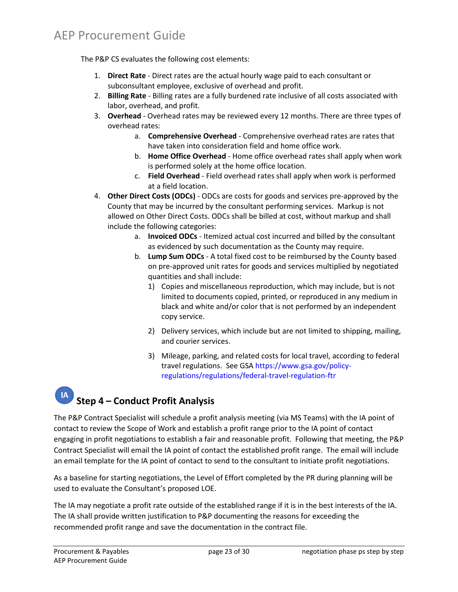The P&P CS evaluates the following cost elements:

- 1. **Direct Rate** Direct rates are the actual hourly wage paid to each consultant or subconsultant employee, exclusive of overhead and profit.
- 2. **Billing Rate** Billing rates are a fully burdened rate inclusive of all costs associated with labor, overhead, and profit.
- 3. **Overhead**  Overhead rates may be reviewed every 12 months. There are three types of overhead rates:
	- a. **Comprehensive Overhead** Comprehensive overhead rates are rates that have taken into consideration field and home office work.
	- b. **Home Office Overhead** Home office overhead rates shall apply when work is performed solely at the home office location.
	- c. **Field Overhead**  Field overhead rates shall apply when work is performed at a field location.
- 4. **Other Direct Costs (ODCs)** ODCs are costs for goods and services pre-approved by the County that may be incurred by the consultant performing services. Markup is not allowed on Other Direct Costs. ODCs shall be billed at cost, without markup and shall include the following categories:
	- a. **Invoiced ODCs** Itemized actual cost incurred and billed by the consultant as evidenced by such documentation as the County may require.
	- b. **Lump Sum ODCs** A total fixed cost to be reimbursed by the County based on pre-approved unit rates for goods and services multiplied by negotiated quantities and shall include:
		- 1) Copies and miscellaneous reproduction, which may include, but is not limited to documents copied, printed, or reproduced in any medium in black and white and/or color that is not performed by an independent copy service.
		- 2) Delivery services, which include but are not limited to shipping, mailing, and courier services.
		- 3) Mileage, parking, and related costs for local travel, according to federal travel regulations. See GSA [https://www.gsa.gov/policy](https://www.gsa.gov/policy-regulations/regulations/federal-travel-regulation-ftr)[regulations/regulations/federal-travel-regulation-ftr](https://www.gsa.gov/policy-regulations/regulations/federal-travel-regulation-ftr)

# **Step 4 – Conduct Profit Analysis**

The P&P Contract Specialist will schedule a profit analysis meeting (via MS Teams) with the IA point of contact to review the Scope of Work and establish a profit range prior to the IA point of contact engaging in profit negotiations to establish a fair and reasonable profit. Following that meeting, the P&P Contract Specialist will email the IA point of contact the established profit range. The email will include an email template for the IA point of contact to send to the consultant to initiate profit negotiations.

As a baseline for starting negotiations, the Level of Effort completed by the PR during planning will be used to evaluate the Consultant's proposed LOE.

The IA may negotiate a profit rate outside of the established range if it is in the best interests of the IA. The IA shall provide written justification to P&P documenting the reasons for exceeding the recommended profit range and save the documentation in the contract file.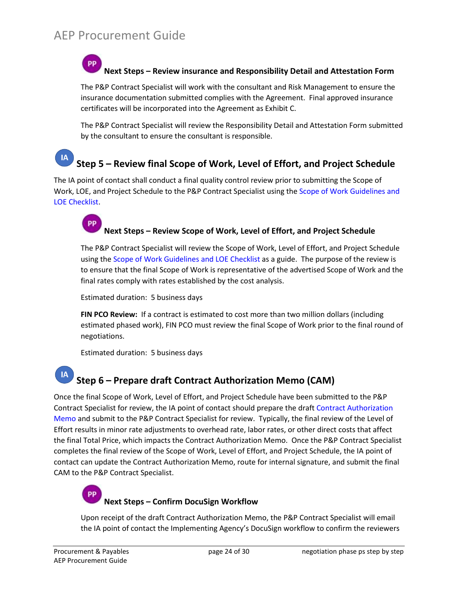**Next Steps – Review insurance and Responsibility Detail and Attestation Form**

The P&P Contract Specialist will work with the consultant and Risk Management to ensure the insurance documentation submitted complies with the Agreement. Final approved insurance certificates will be incorporated into the Agreement as Exhibit C.

The P&P Contract Specialist will review the Responsibility Detail and Attestation Form submitted by the consultant to ensure the consultant is responsible.

#### **IA Step 5 – Review final Scope of Work, Level of Effort, and Project Schedule**

The IA point of contact shall conduct a final quality control review prior to submitting the Scope of Work, LOE, and Project Schedule to the P&P Contract Specialist using the [Scope of Work Guidelines and](https://kc1.sharepoint.com/teams/FBOD/CC/aep/Contracting%20Documents/sow-guidelines-loe-checklist.pdf)  [LOE Checklist.](https://kc1.sharepoint.com/teams/FBOD/CC/aep/Contracting%20Documents/sow-guidelines-loe-checklist.pdf)

#### **Next Steps – Review Scope of Work, Level of Effort, and Project Schedule**

The P&P Contract Specialist will review the Scope of Work, Level of Effort, and Project Schedule using th[e Scope of Work Guidelines and LOE Checklist](https://kc1.sharepoint.com/teams/FBOD/CC/aep/Contracting%20Documents/sow-guidelines-loe-checklist.pdf) as a guide. The purpose of the review is to ensure that the final Scope of Work is representative of the advertised Scope of Work and the final rates comply with rates established by the cost analysis.

Estimated duration: 5 business days

**FIN PCO Review:** If a contract is estimated to cost more than two million dollars (including estimated phased work), FIN PCO must review the final Scope of Work prior to the final round of negotiations.

Estimated duration: 5 business days

#### IA **Step 6 – Prepare draft Contract Authorization Memo (CAM)**

Once the final Scope of Work, Level of Effort, and Project Schedule have been submitted to the P&P Contract Specialist for review, the IA point of contact should prepare the draft [Contract Authorization](https://kc1.sharepoint.com/:w:/t/FBOD/CC/aep/ETioB-v-P2RInpaW11e9cu4BJVXjy59maExedRHhX8gXRg)  [Memo](https://kc1.sharepoint.com/:w:/t/FBOD/CC/aep/ETioB-v-P2RInpaW11e9cu4BJVXjy59maExedRHhX8gXRg) and submit to the P&P Contract Specialist for review. Typically, the final review of the Level of Effort results in minor rate adjustments to overhead rate, labor rates, or other direct costs that affect the final Total Price, which impacts the Contract Authorization Memo. Once the P&P Contract Specialist completes the final review of the Scope of Work, Level of Effort, and Project Schedule, the IA point of contact can update the Contract Authorization Memo, route for internal signature, and submit the final CAM to the P&P Contract Specialist.

#### **Next Steps – Confirm DocuSign Workflow**

Upon receipt of the draft Contract Authorization Memo, the P&P Contract Specialist will email the IA point of contact the Implementing Agency's DocuSign workflow to confirm the reviewers

**DD**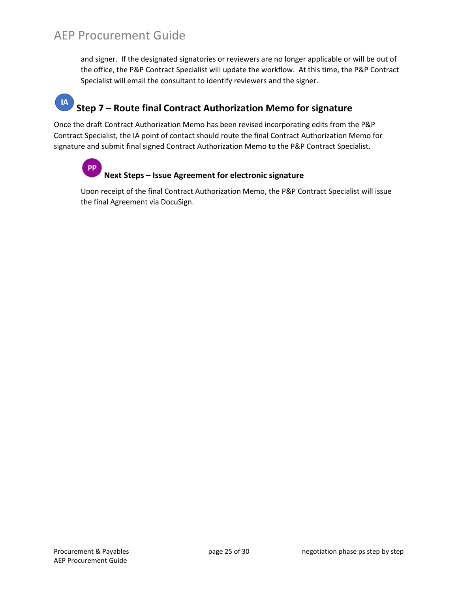and signer. If the designated signatories or reviewers are no longer applicable or will be out of the office, the P&P Contract Specialist will update the workflow. At this time, the P&P Contract Specialist will email the consultant to identify reviewers and the signer.

#### **IA Step 7 – Route final Contract Authorization Memo for signature**

Once the draft Contract Authorization Memo has been revised incorporating edits from the P&P Contract Specialist, the IA point of contact should route the final Contract Authorization Memo for signature and submit final signed Contract Authorization Memo to the P&P Contract Specialist.

#### PP **Next Steps – Issue Agreement for electronic signature**

Upon receipt of the final Contract Authorization Memo, the P&P Contract Specialist will issue the final Agreement via DocuSign.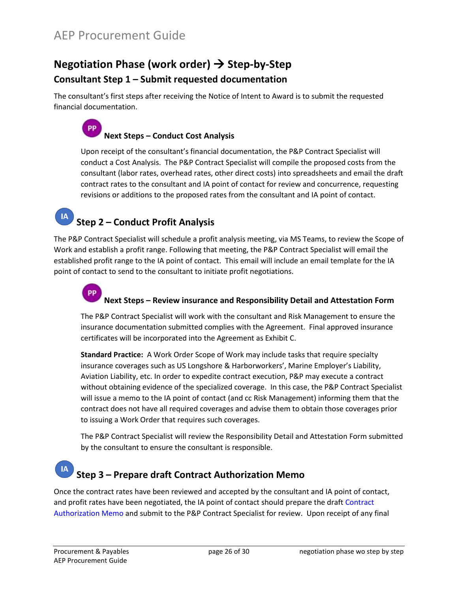# <span id="page-27-0"></span>**Negotiation Phase (work order) Step-by-Step Consultant Step 1 – Submit requested documentation**

The consultant's first steps after receiving the Notice of Intent to Award is to submit the requested financial documentation.

#### **PP Next Steps – Conduct Cost Analysis**

Upon receipt of the consultant's financial documentation, the P&P Contract Specialist will conduct a Cost Analysis. The P&P Contract Specialist will compile the proposed costs from the consultant (labor rates, overhead rates, other direct costs) into spreadsheets and email the draft contract rates to the consultant and IA point of contact for review and concurrence, requesting revisions or additions to the proposed rates from the consultant and IA point of contact.

# **Step 2 – Conduct Profit Analysis**

**IA** 

The P&P Contract Specialist will schedule a profit analysis meeting, via MS Teams, to review the Scope of Work and establish a profit range. Following that meeting, the P&P Contract Specialist will email the established profit range to the IA point of contact. This email will include an email template for the IA point of contact to send to the consultant to initiate profit negotiations.

#### **PP Next Steps – Review insurance and Responsibility Detail and Attestation Form**

The P&P Contract Specialist will work with the consultant and Risk Management to ensure the insurance documentation submitted complies with the Agreement. Final approved insurance certificates will be incorporated into the Agreement as Exhibit C.

**Standard Practice:** A Work Order Scope of Work may include tasks that require specialty insurance coverages such as US Longshore & Harborworkers', Marine Employer's Liability, Aviation Liability, etc. In order to expedite contract execution, P&P may execute a contract without obtaining evidence of the specialized coverage. In this case, the P&P Contract Specialist will issue a memo to the IA point of contact (and cc Risk Management) informing them that the contract does not have all required coverages and advise them to obtain those coverages prior to issuing a Work Order that requires such coverages.

The P&P Contract Specialist will review the Responsibility Detail and Attestation Form submitted by the consultant to ensure the consultant is responsible.

# **Step 3 – Prepare draft Contract Authorization Memo**

Once the contract rates have been reviewed and accepted by the consultant and IA point of contact, and profit rates have been negotiated, the IA point of contact should prepare the draf[t Contract](https://kc1.sharepoint.com/teams/FBOD/CC/aep/Contracting%20Documents/contract-authorization-memo-work-order.doc?d=w1ac686d6e0194459abb68e7b8198203b)  [Authorization Memo](https://kc1.sharepoint.com/teams/FBOD/CC/aep/Contracting%20Documents/contract-authorization-memo-work-order.doc?d=w1ac686d6e0194459abb68e7b8198203b) and submit to the P&P Contract Specialist for review. Upon receipt of any final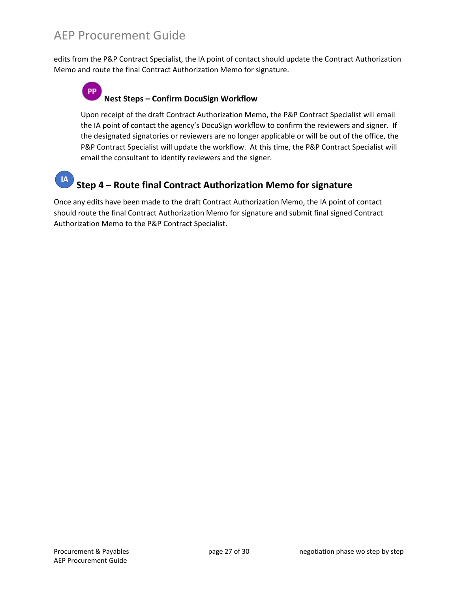edits from the P&P Contract Specialist, the IA point of contact should update the Contract Authorization Memo and route the final Contract Authorization Memo for signature.

#### **PP Nest Steps – Confirm DocuSign Workflow**

Upon receipt of the draft Contract Authorization Memo, the P&P Contract Specialist will email the IA point of contact the agency's DocuSign workflow to confirm the reviewers and signer. If the designated signatories or reviewers are no longer applicable or will be out of the office, the P&P Contract Specialist will update the workflow. At this time, the P&P Contract Specialist will email the consultant to identify reviewers and the signer.

#### **IA Step 4 – Route final Contract Authorization Memo for signature**

Once any edits have been made to the draft Contract Authorization Memo, the IA point of contact should route the final Contract Authorization Memo for signature and submit final signed Contract Authorization Memo to the P&P Contract Specialist.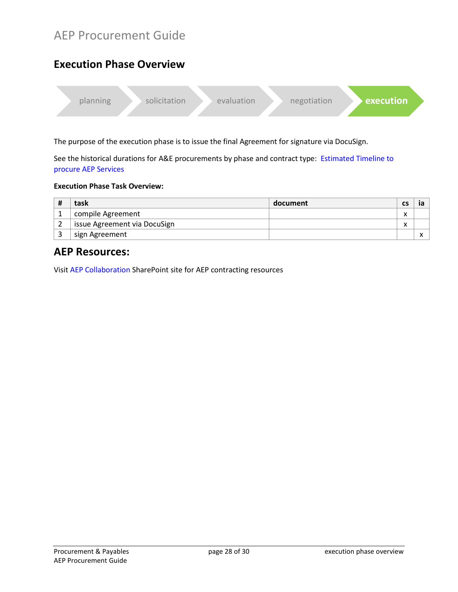# <span id="page-29-0"></span>**Execution Phase Overview**



The purpose of the execution phase is to issue the final Agreement for signature via DocuSign.

See the historical durations for A&E procurements by phase and contract type: [Estimated Timeline to](#page-10-0)  [procure AEP Services](#page-10-0)

#### **Execution Phase Task Overview:**

| # | task                         | document | CS                |  |
|---|------------------------------|----------|-------------------|--|
|   | compile Agreement            |          | $\checkmark$<br>́ |  |
|   | issue Agreement via DocuSign |          | $\checkmark$<br>́ |  |
|   | sign Agreement               |          |                   |  |

### **AEP Resources:**

Visit [AEP Collaboration](https://kc1.sharepoint.com/teams/FBOD/CC/aep/SitePages/Home.aspx) SharePoint site for AEP contracting resources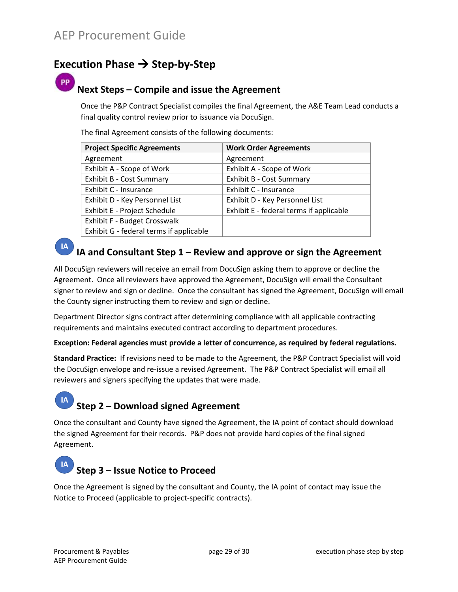# <span id="page-30-0"></span>**Execution Phase → Step-by-Step**

### **Next Steps – Compile and issue the Agreement**

Once the P&P Contract Specialist compiles the final Agreement, the A&E Team Lead conducts a final quality control review prior to issuance via DocuSign.

The final Agreement consists of the following documents:

| <b>Project Specific Agreements</b>      | <b>Work Order Agreements</b>            |
|-----------------------------------------|-----------------------------------------|
| Agreement                               | Agreement                               |
| Exhibit A - Scope of Work               | Exhibit A - Scope of Work               |
| Exhibit B - Cost Summary                | Exhibit B - Cost Summary                |
| Exhibit C - Insurance                   | Exhibit C - Insurance                   |
| Exhibit D - Key Personnel List          | Exhibit D - Key Personnel List          |
| Exhibit E - Project Schedule            | Exhibit E - federal terms if applicable |
| Exhibit F - Budget Crosswalk            |                                         |
| Exhibit G - federal terms if applicable |                                         |



**IA** 

# **IA and Consultant Step 1 – Review and approve or sign the Agreement**

All DocuSign reviewers will receive an email from DocuSign asking them to approve or decline the Agreement. Once all reviewers have approved the Agreement, DocuSign will email the Consultant signer to review and sign or decline. Once the consultant has signed the Agreement, DocuSign will email the County signer instructing them to review and sign or decline.

Department Director signs contract after determining compliance with all applicable contracting requirements and maintains executed contract according to department procedures.

#### **Exception: Federal agencies must provide a letter of concurrence, as required by federal regulations.**

**Standard Practice:** If revisions need to be made to the Agreement, the P&P Contract Specialist will void the DocuSign envelope and re-issue a revised Agreement. The P&P Contract Specialist will email all reviewers and signers specifying the updates that were made.

# **Step 2 – Download signed Agreement**

Once the consultant and County have signed the Agreement, the IA point of contact should download the signed Agreement for their records. P&P does not provide hard copies of the final signed Agreement.

#### **IA Step 3 – Issue Notice to Proceed**

Once the Agreement is signed by the consultant and County, the IA point of contact may issue the Notice to Proceed (applicable to project-specific contracts).